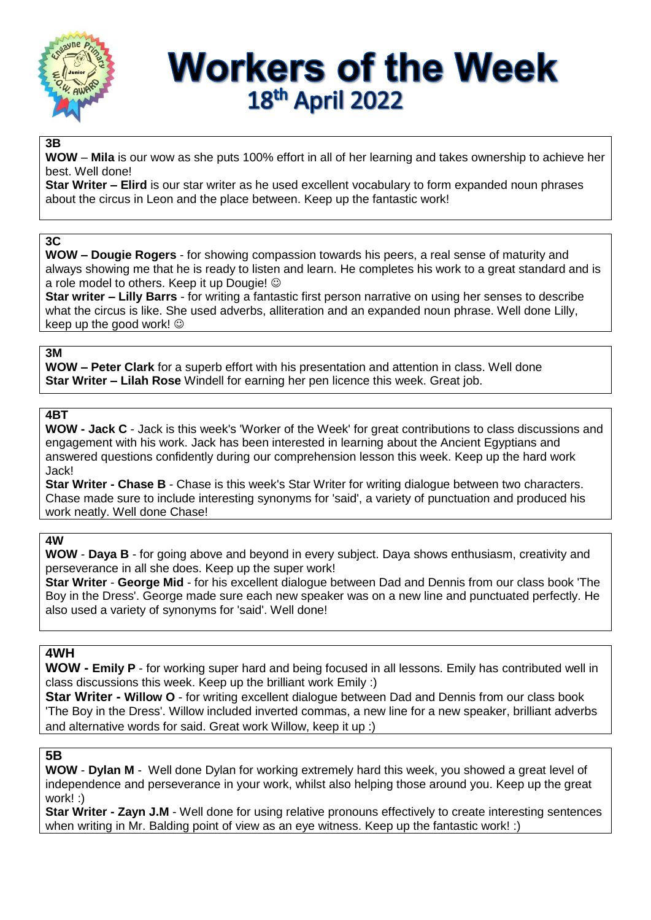

# **Workers of the Week** 18th April 2022

### **3B**

**WOW** – **Mila** is our wow as she puts 100% effort in all of her learning and takes ownership to achieve her best. Well done!

**Star Writer – Elird** is our star writer as he used excellent vocabulary to form expanded noun phrases about the circus in Leon and the place between. Keep up the fantastic work!

#### **3C**

**WOW – Dougie Rogers** - for showing compassion towards his peers, a real sense of maturity and always showing me that he is ready to listen and learn. He completes his work to a great standard and is a role model to others. Keep it up Dougie!  $\odot$ 

**Star writer – Lilly Barrs** - for writing a fantastic first person narrative on using her senses to describe what the circus is like. She used adverbs, alliteration and an expanded noun phrase. Well done Lilly, keep up the good work!

#### **3M**

**WOW – Peter Clark** for a superb effort with his presentation and attention in class. Well done **Star Writer – Lilah Rose** Windell for earning her pen licence this week. Great job.

## **4BT**

**WOW - Jack C** - Jack is this week's 'Worker of the Week' for great contributions to class discussions and engagement with his work. Jack has been interested in learning about the Ancient Egyptians and answered questions confidently during our comprehension lesson this week. Keep up the hard work Jack!

**Star Writer - Chase B** - Chase is this week's Star Writer for writing dialogue between two characters. Chase made sure to include interesting synonyms for 'said', a variety of punctuation and produced his work neatly. Well done Chase!

#### **4W**

**WOW** - **Daya B** - for going above and beyond in every subject. Daya shows enthusiasm, creativity and perseverance in all she does. Keep up the super work!

**Star Writer** - **George Mid** - for his excellent dialogue between Dad and Dennis from our class book 'The Boy in the Dress'. George made sure each new speaker was on a new line and punctuated perfectly. He also used a variety of synonyms for 'said'. Well done!

## **4WH**

**WOW - Emily P** - for working super hard and being focused in all lessons. Emily has contributed well in class discussions this week. Keep up the brilliant work Emily :)

**Star Writer - Willow O** - for writing excellent dialogue between Dad and Dennis from our class book 'The Boy in the Dress'. Willow included inverted commas, a new line for a new speaker, brilliant adverbs and alternative words for said. Great work Willow, keep it up :)

#### **5B**

**WOW** - **Dylan M** - Well done Dylan for working extremely hard this week, you showed a great level of independence and perseverance in your work, whilst also helping those around you. Keep up the great work! :)

**Star Writer - Zayn J.M** - Well done for using relative pronouns effectively to create interesting sentences when writing in Mr. Balding point of view as an eye witness. Keep up the fantastic work! :)